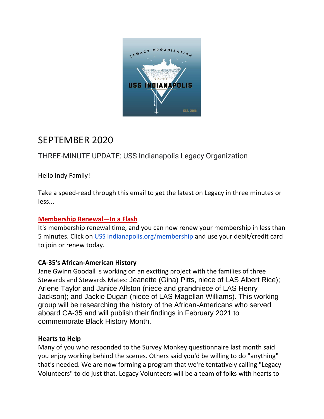

# SEPTEMBER 2020

THREE-MINUTE UPDATE: USS Indianapolis Legacy Organization

Hello Indy Family!

Take a speed-read through this email to get the latest on Legacy in three minutes or less...

# **Membership Renewal—In a Flash**

It's membership renewal time, and you can now renew your membership in less than 5 minutes. Click on [USS Indianapolis.org/membership](https://www.ussindianapolis.org/membership) and use your debit/credit card to join or renew today.

# **CA-35's African-American History**

Jane Gwinn Goodall is working on an exciting project with the families of three Stewards and Stewards Mates: Jeanette (Gina) Pitts, niece of LAS Albert Rice); Arlene Taylor and Janice Allston (niece and grandniece of LAS Henry Jackson); and Jackie Dugan (niece of LAS Magellan Williams). This working group will be researching the history of the African-Americans who served aboard CA-35 and will publish their findings in February 2021 to commemorate Black History Month.

# **Hearts to Help**

Many of you who responded to the Survey Monkey questionnaire last month said you enjoy working behind the scenes. Others said you'd be willing to do "anything" that's needed. We are now forming a program that we're tentatively calling "Legacy Volunteers" to do just that. Legacy Volunteers will be a team of folks with hearts to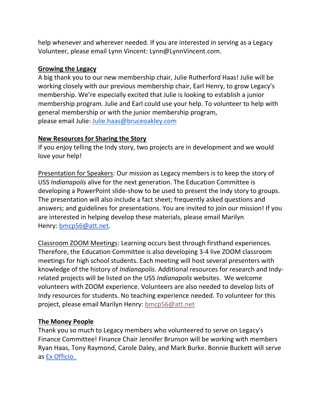help whenever and wherever needed. If you are interested in serving as a Legacy Volunteer, please email Lynn Vincent: Lynn@LynnVincent.com.

#### **Growing the Legacy**

A big thank you to our new membership chair, Julie Rutherford Haas! Julie will be working closely with our previous membership chair, Earl Henry, to grow Legacy's membership. We're especially excited that Julie is looking to establish a junior membership program. Julie and Earl could use your help. To volunteer to help with general membership or with the junior membership program, please email Julie: [Julie.haas@bruceoakley.com](mailto:Julie.haas@bruceoakley.com)

#### **New Resources for Sharing the Story**

If you enjoy telling the Indy story, two projects are in development and we would love your help!

Presentation for Speakers: Our mission as Legacy members is to keep the story of USS *Indianapolis* alive for the next generation. The Education Committee is developing a PowerPoint slide-show to be used to present the Indy story to groups. The presentation will also include a fact sheet; frequently asked questions and answers; and guidelines for presentations. You are invited to join our mission! If you are interested in helping develop these materials, please email Marilyn Henry: [bmcp56@att.net.](mailto:bmcp56@att.net)

Classroom ZOOM Meetings: Learning occurs best through firsthand experiences. Therefore, the Education Committee is also developing 3-4 live ZOOM classroom meetings for high school students. Each meeting will host several presenters with knowledge of the history of *Indianapolis*. Additional resources for research and Indyrelated projects will be listed on the USS *Indianapolis* websites. We welcome volunteers with ZOOM experience. Volunteers are also needed to develop lists of Indy resources for students. No teaching experience needed. To volunteer for this project, please email Marilyn Henry: [bmcp56@att.net](mailto:bmcp56@att.net)

# **The Money People**

Thank you so much to Legacy members who volunteered to serve on Legacy's Finance Committee! Finance Chair Jennifer Brunson will be working with members Ryan Haas, Tony Raymond, Carole Daley, and Mark Burke. Bonnie Buckett will serve as [Ex Officio.](https://en.wikipedia.org/wiki/Ex_officio_member)